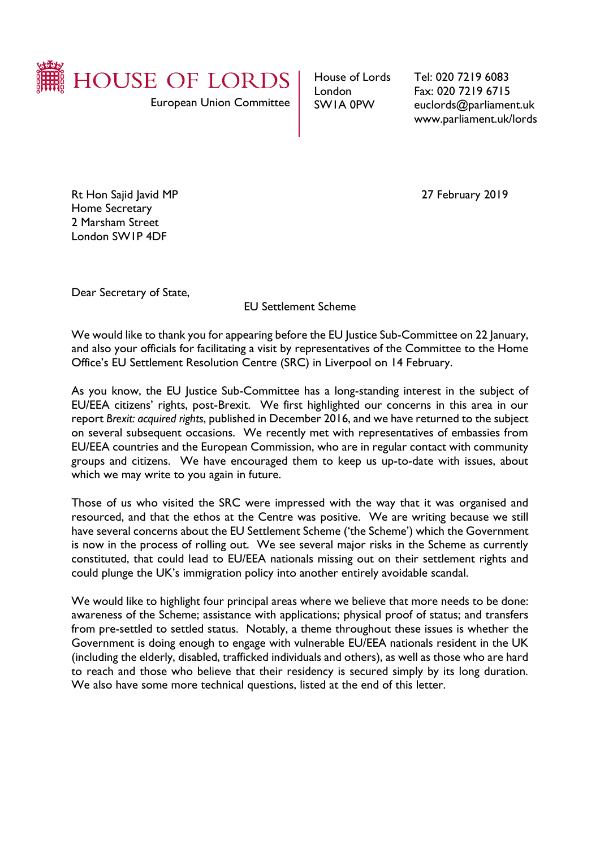

European Union Committee

House of Lords London SW1A 0PW

Tel: 020 7219 6083 Fax: 020 7219 6715 euclords@parliament.uk www.parliament.uk/lords

Rt Hon Sajid Javid MP 27 February 2019 Home Secretary 2 Marsham Street London SW1P 4DF

Dear Secretary of State,

EU Settlement Scheme

We would like to thank you for appearing before the EU Justice Sub-Committee on 22 January, and also your officials for facilitating a visit by representatives of the Committee to the Home Office's EU Settlement Resolution Centre (SRC) in Liverpool on 14 February.

As you know, the EU Justice Sub-Committee has a long-standing interest in the subject of EU/EEA citizens' rights, post-Brexit. We first highlighted our concerns in this area in our report *Brexit: acquired rights*, published in December 2016, and we have returned to the subject on several subsequent occasions. We recently met with representatives of embassies from EU/EEA countries and the European Commission, who are in regular contact with community groups and citizens. We have encouraged them to keep us up-to-date with issues, about which we may write to you again in future.

Those of us who visited the SRC were impressed with the way that it was organised and resourced, and that the ethos at the Centre was positive. We are writing because we still have several concerns about the EU Settlement Scheme ('the Scheme') which the Government is now in the process of rolling out. We see several major risks in the Scheme as currently constituted, that could lead to EU/EEA nationals missing out on their settlement rights and could plunge the UK's immigration policy into another entirely avoidable scandal.

We would like to highlight four principal areas where we believe that more needs to be done: awareness of the Scheme; assistance with applications; physical proof of status; and transfers from pre-settled to settled status. Notably, a theme throughout these issues is whether the Government is doing enough to engage with vulnerable EU/EEA nationals resident in the UK (including the elderly, disabled, trafficked individuals and others), as well as those who are hard to reach and those who believe that their residency is secured simply by its long duration. We also have some more technical questions, listed at the end of this letter.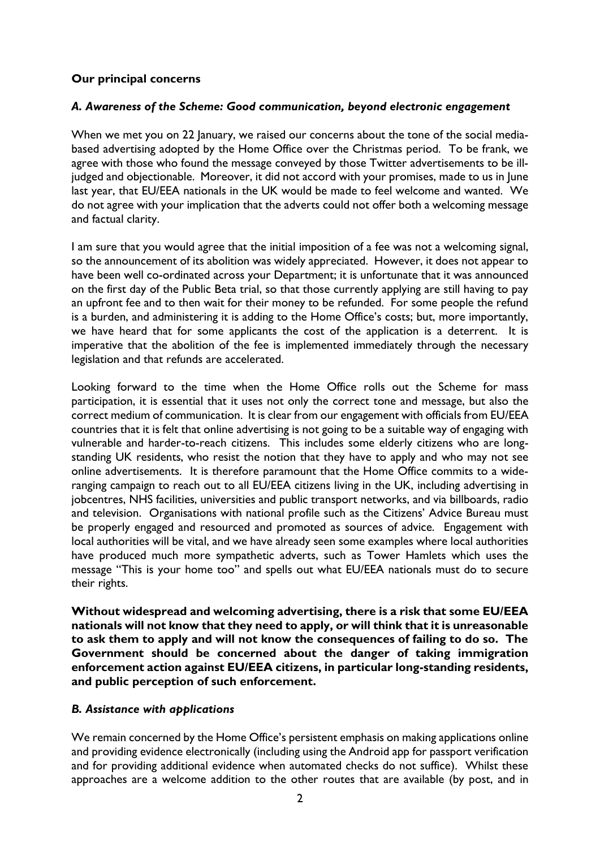## **Our principal concerns**

### *A. Awareness of the Scheme: Good communication, beyond electronic engagement*

When we met you on 22 January, we raised our concerns about the tone of the social mediabased advertising adopted by the Home Office over the Christmas period. To be frank, we agree with those who found the message conveyed by those Twitter advertisements to be illjudged and objectionable. Moreover, it did not accord with your promises, made to us in June last year, that EU/EEA nationals in the UK would be made to feel welcome and wanted. We do not agree with your implication that the adverts could not offer both a welcoming message and factual clarity.

I am sure that you would agree that the initial imposition of a fee was not a welcoming signal, so the announcement of its abolition was widely appreciated. However, it does not appear to have been well co-ordinated across your Department; it is unfortunate that it was announced on the first day of the Public Beta trial, so that those currently applying are still having to pay an upfront fee and to then wait for their money to be refunded. For some people the refund is a burden, and administering it is adding to the Home Office's costs; but, more importantly, we have heard that for some applicants the cost of the application is a deterrent. It is imperative that the abolition of the fee is implemented immediately through the necessary legislation and that refunds are accelerated.

Looking forward to the time when the Home Office rolls out the Scheme for mass participation, it is essential that it uses not only the correct tone and message, but also the correct medium of communication. It is clear from our engagement with officials from EU/EEA countries that it is felt that online advertising is not going to be a suitable way of engaging with vulnerable and harder-to-reach citizens. This includes some elderly citizens who are longstanding UK residents, who resist the notion that they have to apply and who may not see online advertisements. It is therefore paramount that the Home Office commits to a wideranging campaign to reach out to all EU/EEA citizens living in the UK, including advertising in jobcentres, NHS facilities, universities and public transport networks, and via billboards, radio and television. Organisations with national profile such as the Citizens' Advice Bureau must be properly engaged and resourced and promoted as sources of advice. Engagement with local authorities will be vital, and we have already seen some examples where local authorities have produced much more sympathetic adverts, such as Tower Hamlets which uses the message "This is your home too" and spells out what EU/EEA nationals must do to secure their rights.

**Without widespread and welcoming advertising, there is a risk that some EU/EEA nationals will not know that they need to apply, or will think that it is unreasonable to ask them to apply and will not know the consequences of failing to do so. The Government should be concerned about the danger of taking immigration enforcement action against EU/EEA citizens, in particular long-standing residents, and public perception of such enforcement.**

#### *B. Assistance with applications*

We remain concerned by the Home Office's persistent emphasis on making applications online and providing evidence electronically (including using the Android app for passport verification and for providing additional evidence when automated checks do not suffice). Whilst these approaches are a welcome addition to the other routes that are available (by post, and in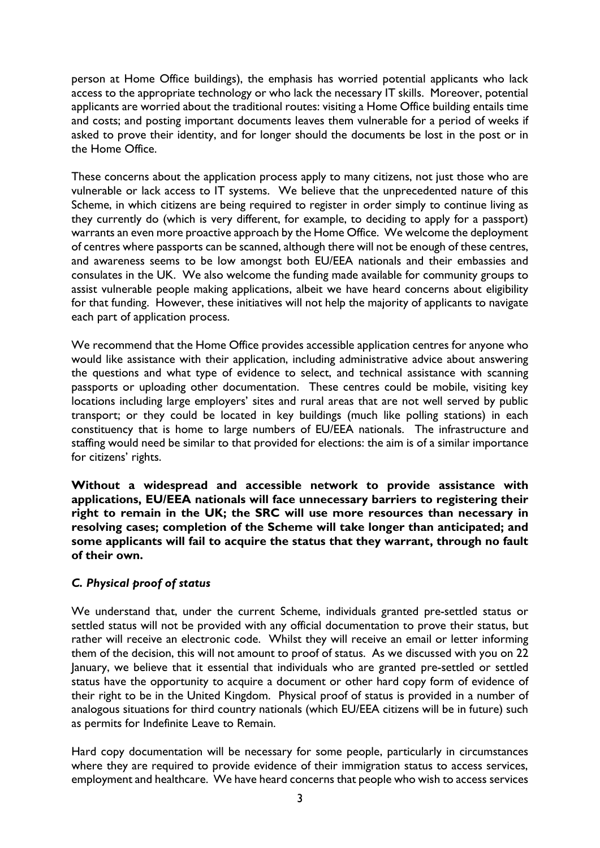person at Home Office buildings), the emphasis has worried potential applicants who lack access to the appropriate technology or who lack the necessary IT skills. Moreover, potential applicants are worried about the traditional routes: visiting a Home Office building entails time and costs; and posting important documents leaves them vulnerable for a period of weeks if asked to prove their identity, and for longer should the documents be lost in the post or in the Home Office.

These concerns about the application process apply to many citizens, not just those who are vulnerable or lack access to IT systems. We believe that the unprecedented nature of this Scheme, in which citizens are being required to register in order simply to continue living as they currently do (which is very different, for example, to deciding to apply for a passport) warrants an even more proactive approach by the Home Office. We welcome the deployment of centres where passports can be scanned, although there will not be enough of these centres, and awareness seems to be low amongst both EU/EEA nationals and their embassies and consulates in the UK. We also welcome the funding made available for community groups to assist vulnerable people making applications, albeit we have heard concerns about eligibility for that funding. However, these initiatives will not help the majority of applicants to navigate each part of application process.

We recommend that the Home Office provides accessible application centres for anyone who would like assistance with their application, including administrative advice about answering the questions and what type of evidence to select, and technical assistance with scanning passports or uploading other documentation. These centres could be mobile, visiting key locations including large employers' sites and rural areas that are not well served by public transport; or they could be located in key buildings (much like polling stations) in each constituency that is home to large numbers of EU/EEA nationals. The infrastructure and staffing would need be similar to that provided for elections: the aim is of a similar importance for citizens' rights.

**Without a widespread and accessible network to provide assistance with applications, EU/EEA nationals will face unnecessary barriers to registering their right to remain in the UK; the SRC will use more resources than necessary in resolving cases; completion of the Scheme will take longer than anticipated; and some applicants will fail to acquire the status that they warrant, through no fault of their own.**

# *C. Physical proof of status*

We understand that, under the current Scheme, individuals granted pre-settled status or settled status will not be provided with any official documentation to prove their status, but rather will receive an electronic code. Whilst they will receive an email or letter informing them of the decision, this will not amount to proof of status. As we discussed with you on 22 January, we believe that it essential that individuals who are granted pre-settled or settled status have the opportunity to acquire a document or other hard copy form of evidence of their right to be in the United Kingdom. Physical proof of status is provided in a number of analogous situations for third country nationals (which EU/EEA citizens will be in future) such as permits for Indefinite Leave to Remain.

Hard copy documentation will be necessary for some people, particularly in circumstances where they are required to provide evidence of their immigration status to access services, employment and healthcare. We have heard concerns that people who wish to access services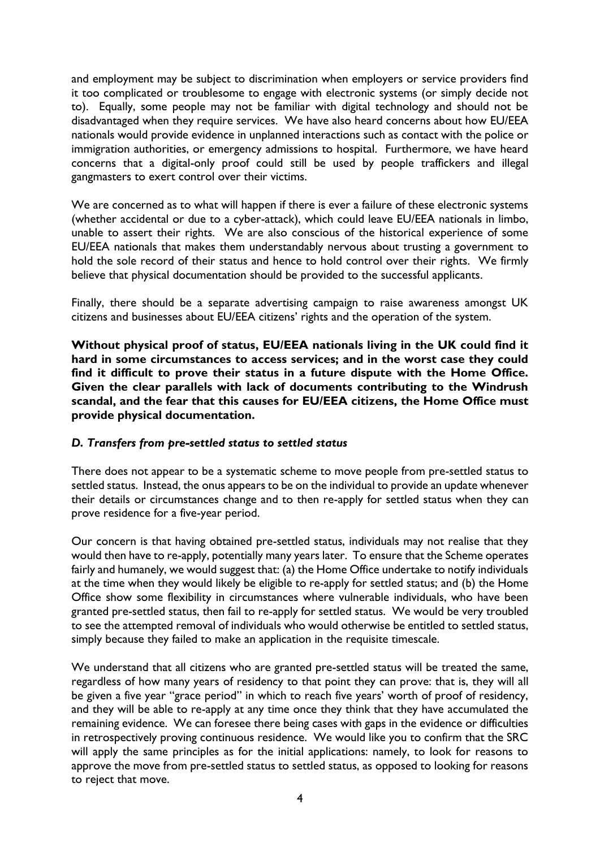and employment may be subject to discrimination when employers or service providers find it too complicated or troublesome to engage with electronic systems (or simply decide not to). Equally, some people may not be familiar with digital technology and should not be disadvantaged when they require services. We have also heard concerns about how EU/EEA nationals would provide evidence in unplanned interactions such as contact with the police or immigration authorities, or emergency admissions to hospital. Furthermore, we have heard concerns that a digital-only proof could still be used by people traffickers and illegal gangmasters to exert control over their victims.

We are concerned as to what will happen if there is ever a failure of these electronic systems (whether accidental or due to a cyber-attack), which could leave EU/EEA nationals in limbo, unable to assert their rights. We are also conscious of the historical experience of some EU/EEA nationals that makes them understandably nervous about trusting a government to hold the sole record of their status and hence to hold control over their rights. We firmly believe that physical documentation should be provided to the successful applicants.

Finally, there should be a separate advertising campaign to raise awareness amongst UK citizens and businesses about EU/EEA citizens' rights and the operation of the system.

**Without physical proof of status, EU/EEA nationals living in the UK could find it hard in some circumstances to access services; and in the worst case they could find it difficult to prove their status in a future dispute with the Home Office. Given the clear parallels with lack of documents contributing to the Windrush scandal, and the fear that this causes for EU/EEA citizens, the Home Office must provide physical documentation.**

## *D. Transfers from pre-settled status to settled status*

There does not appear to be a systematic scheme to move people from pre-settled status to settled status. Instead, the onus appears to be on the individual to provide an update whenever their details or circumstances change and to then re-apply for settled status when they can prove residence for a five-year period.

Our concern is that having obtained pre-settled status, individuals may not realise that they would then have to re-apply, potentially many years later. To ensure that the Scheme operates fairly and humanely, we would suggest that: (a) the Home Office undertake to notify individuals at the time when they would likely be eligible to re-apply for settled status; and (b) the Home Office show some flexibility in circumstances where vulnerable individuals, who have been granted pre-settled status, then fail to re-apply for settled status. We would be very troubled to see the attempted removal of individuals who would otherwise be entitled to settled status, simply because they failed to make an application in the requisite timescale.

We understand that all citizens who are granted pre-settled status will be treated the same, regardless of how many years of residency to that point they can prove: that is, they will all be given a five year "grace period" in which to reach five years' worth of proof of residency, and they will be able to re-apply at any time once they think that they have accumulated the remaining evidence. We can foresee there being cases with gaps in the evidence or difficulties in retrospectively proving continuous residence. We would like you to confirm that the SRC will apply the same principles as for the initial applications: namely, to look for reasons to approve the move from pre-settled status to settled status, as opposed to looking for reasons to reject that move.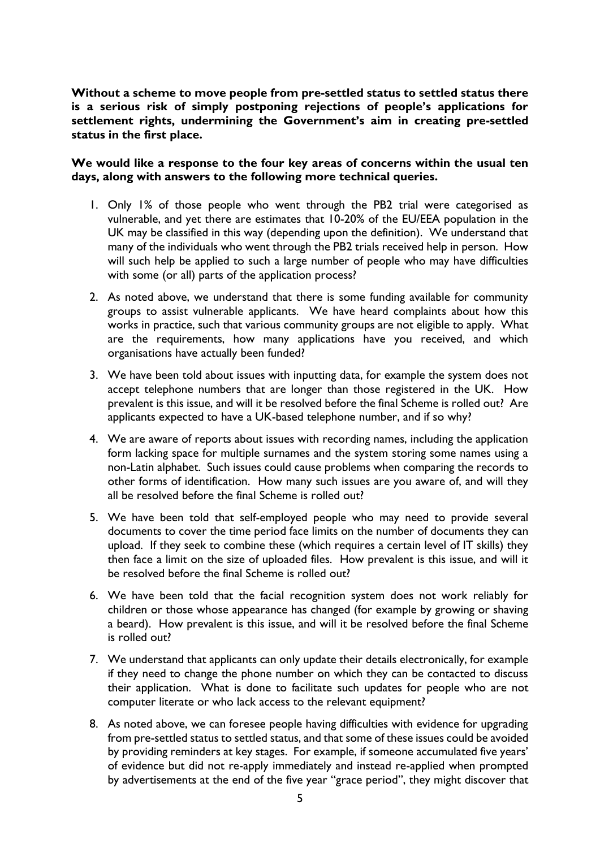**Without a scheme to move people from pre-settled status to settled status there is a serious risk of simply postponing rejections of people's applications for settlement rights, undermining the Government's aim in creating pre-settled status in the first place.**

**We would like a response to the four key areas of concerns within the usual ten days, along with answers to the following more technical queries.**

- 1. Only 1% of those people who went through the PB2 trial were categorised as vulnerable, and yet there are estimates that 10-20% of the EU/EEA population in the UK may be classified in this way (depending upon the definition). We understand that many of the individuals who went through the PB2 trials received help in person. How will such help be applied to such a large number of people who may have difficulties with some (or all) parts of the application process?
- 2. As noted above, we understand that there is some funding available for community groups to assist vulnerable applicants. We have heard complaints about how this works in practice, such that various community groups are not eligible to apply. What are the requirements, how many applications have you received, and which organisations have actually been funded?
- 3. We have been told about issues with inputting data, for example the system does not accept telephone numbers that are longer than those registered in the UK. How prevalent is this issue, and will it be resolved before the final Scheme is rolled out? Are applicants expected to have a UK-based telephone number, and if so why?
- 4. We are aware of reports about issues with recording names, including the application form lacking space for multiple surnames and the system storing some names using a non-Latin alphabet. Such issues could cause problems when comparing the records to other forms of identification. How many such issues are you aware of, and will they all be resolved before the final Scheme is rolled out?
- 5. We have been told that self-employed people who may need to provide several documents to cover the time period face limits on the number of documents they can upload. If they seek to combine these (which requires a certain level of IT skills) they then face a limit on the size of uploaded files. How prevalent is this issue, and will it be resolved before the final Scheme is rolled out?
- 6. We have been told that the facial recognition system does not work reliably for children or those whose appearance has changed (for example by growing or shaving a beard). How prevalent is this issue, and will it be resolved before the final Scheme is rolled out?
- 7. We understand that applicants can only update their details electronically, for example if they need to change the phone number on which they can be contacted to discuss their application. What is done to facilitate such updates for people who are not computer literate or who lack access to the relevant equipment?
- 8. As noted above, we can foresee people having difficulties with evidence for upgrading from pre-settled status to settled status, and that some of these issues could be avoided by providing reminders at key stages. For example, if someone accumulated five years' of evidence but did not re-apply immediately and instead re-applied when prompted by advertisements at the end of the five year "grace period", they might discover that